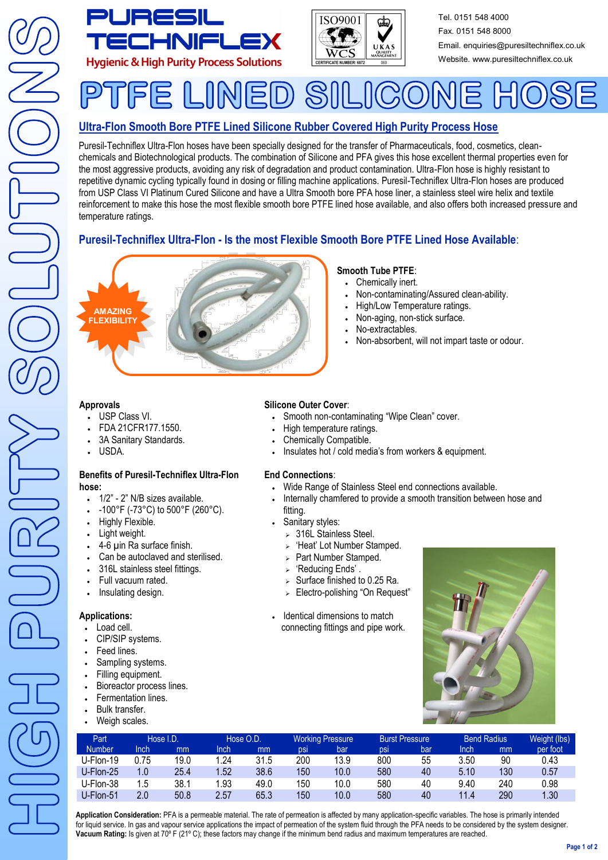



Tel. 0151 548 4000 Fax. 0151 548 8000 Email. enquiries@puresiltechniflex.co.uk Website. www.puresiltechniflex.co.uk

#### INED.  $\mathcal{S}$ F.  $C_2$ (O)

# **Ultra-Flon Smooth Bore PTFE Lined Silicone Rubber Covered High Purity Process Hose**

Puresil-Techniflex Ultra-Flon hoses have been specially designed for the transfer of Pharmaceuticals, food, cosmetics, cleanchemicals and Biotechnological products. The combination of Silicone and PFA gives this hose excellent thermal properties even for the most aggressive products, avoiding any risk of degradation and product contamination. Ultra-Flon hose is highly resistant to repetitive dynamic cycling typically found in dosing or filling machine applications. Puresil-Techniflex Ultra-Flon hoses are produced from USP Class VI Platinum Cured Silicone and have a Ultra Smooth bore PFA hose liner, a stainless steel wire helix and textile reinforcement to make this hose the most flexible smooth bore PTFE lined hose available, and also offers both increased pressure and temperature ratings.

# **Puresil-Techniflex Ultra-Flon - Is the most Flexible Smooth Bore PTFE Lined Hose Available**:



# **Smooth Tube PTFE**:

- Chemically inert.
- Non-contaminating/Assured clean-ability.
- High/Low Temperature ratings.
- Non-aging, non-stick surface.
- No-extractables.
- Non-absorbent, will not impart taste or odour.

#### **Approvals**

- USP Class VI.
- FDA 21CFR177.1550.
- 3A Sanitary Standards.
- USDA.

#### **Benefits of Puresil-Techniflex Ultra-Flon hose:**

- 1/2" 2" N/B sizes available.
- -100°F (-73°C) to 500°F (260°C).
- Highly Flexible.
- Light weight.
- 4-6 µin Ra surface finish.
- Can be autoclaved and sterilised.
- 316L stainless steel fittings.
- Full vacuum rated.
- Insulating design.

# **Applications:**

- Load cell.
- CIP/SIP systems.
- Feed lines.
- Sampling systems.
- Filling equipment.
- Bioreactor process lines.
- Fermentation lines.
- Bulk transfer.
- Weigh scales.

# **Silicone Outer Cover**:

- Smooth non-contaminating "Wipe Clean" cover.
- High temperature ratings.
- Chemically Compatible.
- Insulates hot / cold media's from workers & equipment.

## **End Connections**:

- Wide Range of Stainless Steel end connections available.
- Internally chamfered to provide a smooth transition between hose and fitting.
- Sanitary styles:
	- $>$  316L Stainless Steel.
	- $\triangleright$  'Heat' Lot Number Stamped.
	- > Part Number Stamped.
	- > 'Reducing Ends'.
	- $\triangleright$  Surface finished to 0.25 Ra.
	- > Electro-polishing "On Request"
- Identical dimensions to match connecting fittings and pipe work.



| Part <sup>1</sup> | Hose I.D. |      | Hose O.D. |      | <b>Working Pressure</b> |      | <b>Burst Pressure</b> |     | <b>Bend Radius</b> |     | Weight (lbs) |
|-------------------|-----------|------|-----------|------|-------------------------|------|-----------------------|-----|--------------------|-----|--------------|
| <b>Number</b>     | Inch      | mm   | Inch      | mm   | <b>DSI</b>              | bar  | DSI                   | bar | Inch               | mm  | per foot     |
| U-Flon-19         | 0.75      | 19.0 | 1.24      | 31.5 | 200                     | 13.9 | 800                   | 55  | 3.50               | 90  | 0.43         |
| U-Flon-25         | 1.0       | 25.4 | 1.52      | 38.6 | 150                     | 10.0 | 580                   | 40  | 5.10               | 130 | 0.57         |
| U-Flon-38         | 1.5       | 38.1 | 1.93      | 49.0 | 150                     | 10.0 | 580                   | 40  | 9.40               | 240 | 0.98         |
| U-Flon-51         | 2.0       | 50.8 | 2.57      | 65.3 | 150                     | 10.0 | 580                   | 40  | 11.4               | 290 | 1.30         |

**Application Consideration:** PFA is a permeable material. The rate of permeation is affected by many application-specific variables. The hose is primarily intended for liquid service. In gas and vapour service applications the impact of permeation of the system fluid through the PFA needs to be considered by the system designer. **Vacuum Rating:** Is given at 70º F (21º C); these factors may change if the minimum bend radius and maximum temperatures are reached.